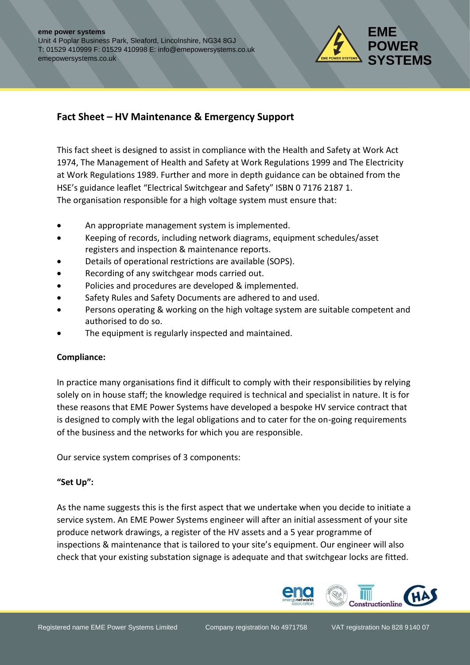

# **Fact Sheet – HV Maintenance & Emergency Support**

This fact sheet is designed to assist in compliance with the Health and Safety at Work Act 1974, The Management of Health and Safety at Work Regulations 1999 and The Electricity at Work Regulations 1989. Further and more in depth guidance can be obtained from the HSE's guidance leaflet "Electrical Switchgear and Safety" ISBN 0 7176 2187 1. The organisation responsible for a high voltage system must ensure that:

- An appropriate management system is implemented.
- Keeping of records, including network diagrams, equipment schedules/asset registers and inspection & maintenance reports.
- Details of operational restrictions are available (SOPS).
- Recording of any switchgear mods carried out.
- Policies and procedures are developed & implemented.
- Safety Rules and Safety Documents are adhered to and used.
- Persons operating & working on the high voltage system are suitable competent and authorised to do so.
- The equipment is regularly inspected and maintained.

#### **Compliance:**

In practice many organisations find it difficult to comply with their responsibilities by relying solely on in house staff; the knowledge required is technical and specialist in nature. It is for these reasons that EME Power Systems have developed a bespoke HV service contract that is designed to comply with the legal obligations and to cater for the on-going requirements of the business and the networks for which you are responsible.

Our service system comprises of 3 components:

#### **"Set Up":**

As the name suggests this is the first aspect that we undertake when you decide to initiate a service system. An EME Power Systems engineer will after an initial assessment of your site produce network drawings, a register of the HV assets and a 5 year programme of inspections & maintenance that is tailored to your site's equipment. Our engineer will also check that your existing substation signage is adequate and that switchgear locks are fitted.